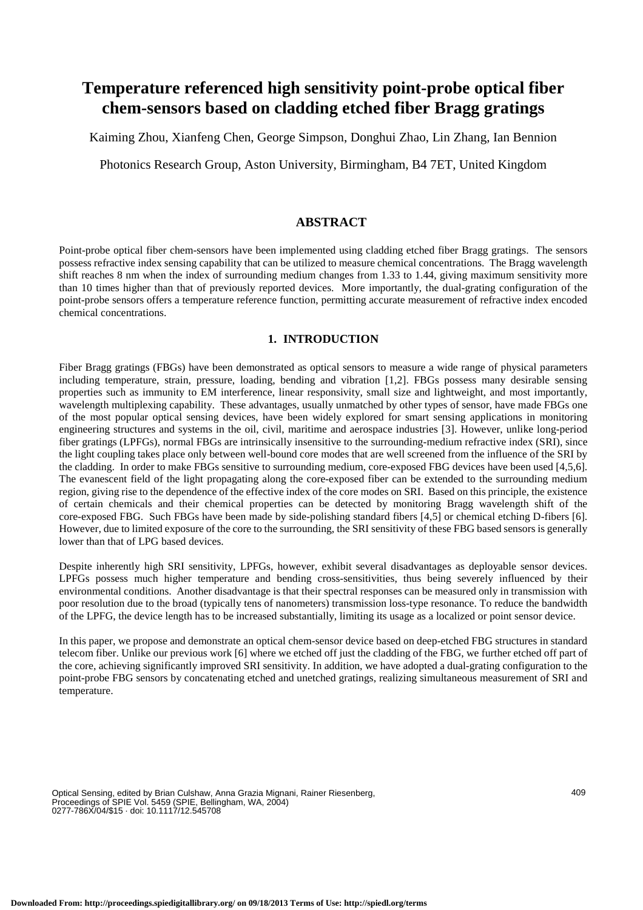# **Temperature referenced high sensitivity point-probe optical fiber chem-sensors based on cladding etched fiber Bragg gratings**

Kaiming Zhou, Xianfeng Chen, George Simpson, Donghui Zhao, Lin Zhang, Ian Bennion

Photonics Research Group, Aston University, Birmingham, B4 7ET, United Kingdom

# **ABSTRACT**

Point-probe optical fiber chem-sensors have been implemented using cladding etched fiber Bragg gratings. The sensors possess refractive index sensing capability that can be utilized to measure chemical concentrations. The Bragg wavelength shift reaches 8 nm when the index of surrounding medium changes from 1.33 to 1.44, giving maximum sensitivity more than 10 times higher than that of previously reported devices. More importantly, the dual-grating configuration of the point-probe sensors offers a temperature reference function, permitting accurate measurement of refractive index encoded chemical concentrations.

## **1. INTRODUCTION**

Fiber Bragg gratings (FBGs) have been demonstrated as optical sensors to measure a wide range of physical parameters including temperature, strain, pressure, loading, bending and vibration [1,2]. FBGs possess many desirable sensing properties such as immunity to EM interference, linear responsivity, small size and lightweight, and most importantly, wavelength multiplexing capability. These advantages, usually unmatched by other types of sensor, have made FBGs one of the most popular optical sensing devices, have been widely explored for smart sensing applications in monitoring engineering structures and systems in the oil, civil, maritime and aerospace industries [3]. However, unlike long-period fiber gratings (LPFGs), normal FBGs are intrinsically insensitive to the surrounding-medium refractive index (SRI), since the light coupling takes place only between well-bound core modes that are well screened from the influence of the SRI by the cladding. In order to make FBGs sensitive to surrounding medium, core-exposed FBG devices have been used [4,5,6]. The evanescent field of the light propagating along the core-exposed fiber can be extended to the surrounding medium region, giving rise to the dependence of the effective index of the core modes on SRI. Based on this principle, the existence of certain chemicals and their chemical properties can be detected by monitoring Bragg wavelength shift of the core-exposed FBG. Such FBGs have been made by side-polishing standard fibers [4,5] or chemical etching D-fibers [6]. However, due to limited exposure of the core to the surrounding, the SRI sensitivity of these FBG based sensors is generally lower than that of LPG based devices.

Despite inherently high SRI sensitivity, LPFGs, however, exhibit several disadvantages as deployable sensor devices. LPFGs possess much higher temperature and bending cross-sensitivities, thus being severely influenced by their environmental conditions. Another disadvantage is that their spectral responses can be measured only in transmission with poor resolution due to the broad (typically tens of nanometers) transmission loss-type resonance. To reduce the bandwidth of the LPFG, the device length has to be increased substantially, limiting its usage as a localized or point sensor device.

In this paper, we propose and demonstrate an optical chem-sensor device based on deep-etched FBG structures in standard telecom fiber. Unlike our previous work [6] where we etched off just the cladding of the FBG, we further etched off part of the core, achieving significantly improved SRI sensitivity. In addition, we have adopted a dual-grating configuration to the point-probe FBG sensors by concatenating etched and unetched gratings, realizing simultaneous measurement of SRI and temperature.

Optical Sensing, edited by Brian Culshaw, Anna Grazia Mignani, Rainer Riesenberg, Proceedings of SPIE Vol. 5459 (SPIE, Bellingham, WA, 2004) 0277-786X/04/\$15 · doi: 10.1117/12.545708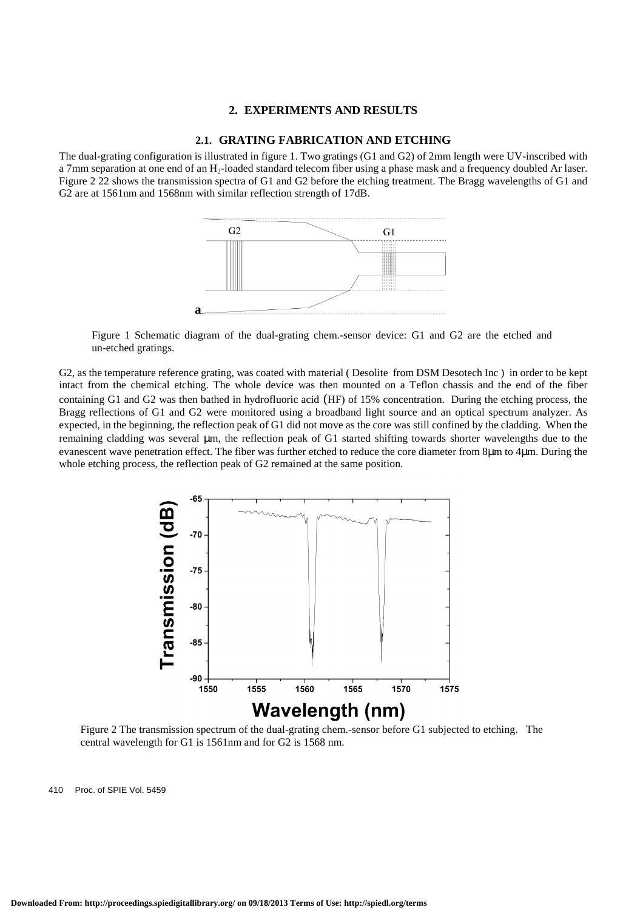## **2. EXPERIMENTS AND RESULTS**

#### **2.1. GRATING FABRICATION AND ETCHING**

The dual-grating configuration is illustrated in figure 1. Two gratings (G1 and G2) of 2mm length were UV-inscribed with a 7mm separation at one end of an H2-loaded standard telecom fiber using a phase mask and a frequency doubled Ar laser. Figure 2 22 shows the transmission spectra of G1 and G2 before the etching treatment. The Bragg wavelengths of G1 and G2 are at 1561nm and 1568nm with similar reflection strength of 17dB.



Figure 1 Schematic diagram of the dual-grating chem.-sensor device: G1 and G2 are the etched and un-etched gratings.

G2, as the temperature reference grating, was coated with material ( Desolite from DSM Desotech Inc ) in order to be kept intact from the chemical etching. The whole device was then mounted on a Teflon chassis and the end of the fiber containing G1 and G2 was then bathed in hydrofluoric acid (HF) of 15% concentration. During the etching process, the Bragg reflections of G1 and G2 were monitored using a broadband light source and an optical spectrum analyzer. As expected, in the beginning, the reflection peak of G1 did not move as the core was still confined by the cladding. When the remaining cladding was several µm, the reflection peak of G1 started shifting towards shorter wavelengths due to the evanescent wave penetration effect. The fiber was further etched to reduce the core diameter from 8µm to 4µm. During the whole etching process, the reflection peak of G2 remained at the same position.



Figure 2 The transmission spectrum of the dual-grating chem.-sensor before G1 subjected to etching. The central wavelength for G1 is 1561nm and for G2 is 1568 nm.

410 Proc. of SPIE Vol. 5459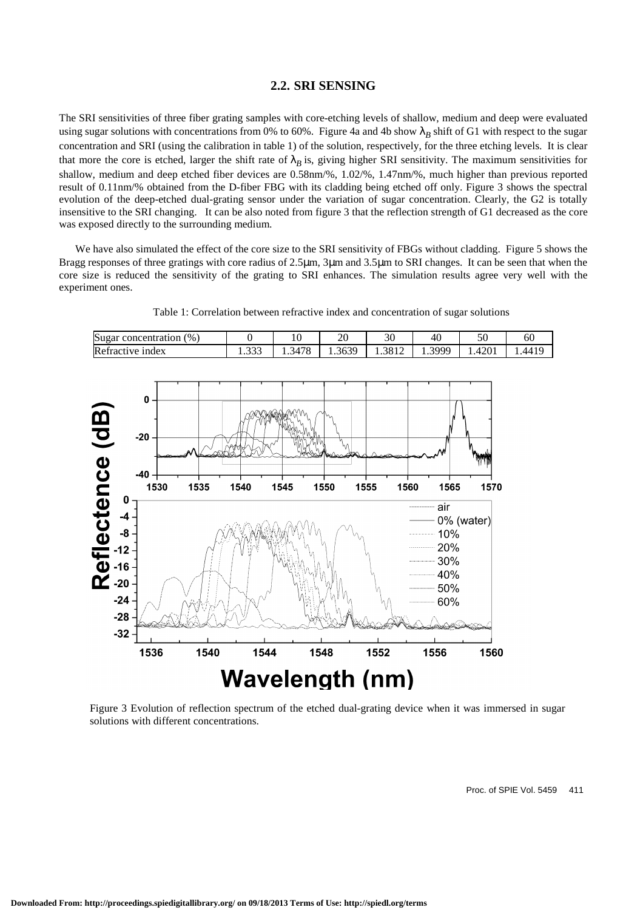# **2.2. SRI SENSING**

The SRI sensitivities of three fiber grating samples with core-etching levels of shallow, medium and deep were evaluated using sugar solutions with concentrations from 0% to 60%. Figure 4a and 4b show  $\lambda_B$  shift of G1 with respect to the sugar concentration and SRI (using the calibration in table 1) of the solution, respectively, for the three etching levels. It is clear that more the core is etched, larger the shift rate of  $\lambda_B$  is, giving higher SRI sensitivity. The maximum sensitivities for shallow, medium and deep etched fiber devices are 0.58nm/%, 1.02/%, 1.47nm/%, much higher than previous reported result of 0.11nm/% obtained from the D-fiber FBG with its cladding being etched off only. Figure 3 shows the spectral evolution of the deep-etched dual-grating sensor under the variation of sugar concentration. Clearly, the G2 is totally insensitive to the SRI changing. It can be also noted from figure 3 that the reflection strength of G1 decreased as the core was exposed directly to the surrounding medium.

We have also simulated the effect of the core size to the SRI sensitivity of FBGs without cladding. Figure 5 shows the Bragg responses of three gratings with core radius of 2.5µm, 3µm and 3.5µm to SRI changes. It can be seen that when the core size is reduced the sensitivity of the grating to SRI enhances. The simulation results agree very well with the experiment ones.



Table 1: Correlation between refractive index and concentration of sugar solutions

Figure 3 Evolution of reflection spectrum of the etched dual-grating device when it was immersed in sugar solutions with different concentrations.

Proc. of SPIE Vol. 5459 411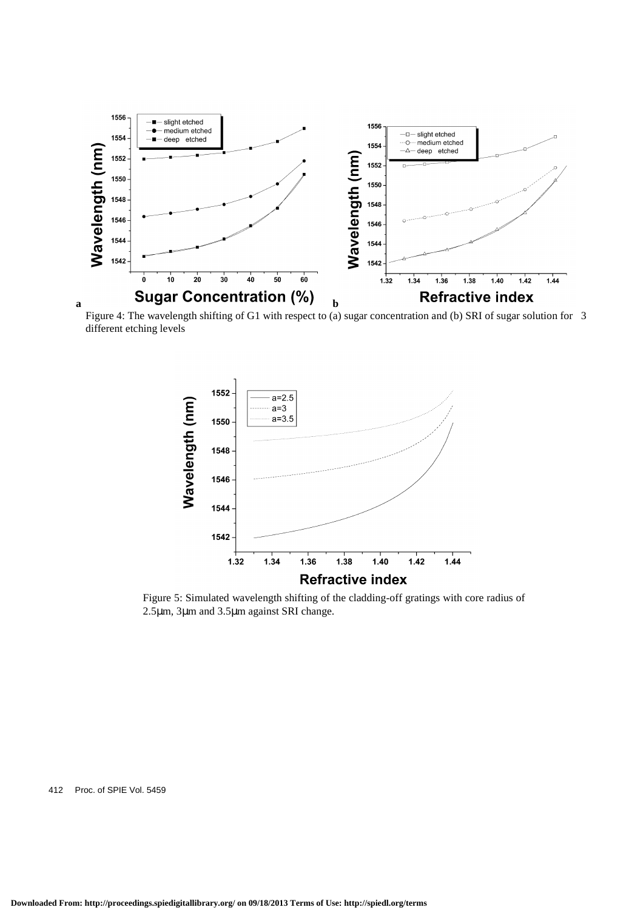

Figure 4: The wavelength shifting of G1 with respect to (a) sugar concentration and (b) SRI of sugar solution for 3 different etching levels



Figure 5: Simulated wavelength shifting of the cladding-off gratings with core radius of 2.5µm, 3µm and 3.5µm against SRI change.

412 Proc. of SPIE Vol. 5459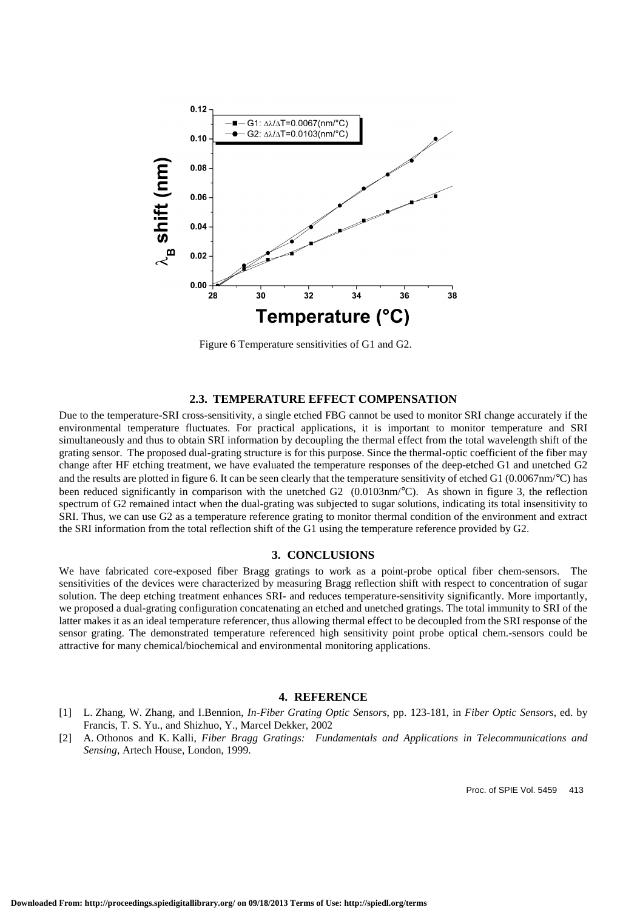

Figure 6 Temperature sensitivities of G1 and G2.

## **2.3. TEMPERATURE EFFECT COMPENSATION**

Due to the temperature-SRI cross-sensitivity, a single etched FBG cannot be used to monitor SRI change accurately if the environmental temperature fluctuates. For practical applications, it is important to monitor temperature and SRI simultaneously and thus to obtain SRI information by decoupling the thermal effect from the total wavelength shift of the grating sensor. The proposed dual-grating structure is for this purpose. Since the thermal-optic coefficient of the fiber may change after HF etching treatment, we have evaluated the temperature responses of the deep-etched G1 and unetched G2 and the results are plotted in figure 6. It can be seen clearly that the temperature sensitivity of etched G1 (0.0067nm/°C) has been reduced significantly in comparison with the unetched G2 (0.0103nm/°C). As shown in figure 3, the reflection spectrum of G2 remained intact when the dual-grating was subjected to sugar solutions, indicating its total insensitivity to SRI. Thus, we can use G2 as a temperature reference grating to monitor thermal condition of the environment and extract the SRI information from the total reflection shift of the G1 using the temperature reference provided by G2.

#### **3. CONCLUSIONS**

We have fabricated core-exposed fiber Bragg gratings to work as a point-probe optical fiber chem-sensors. The sensitivities of the devices were characterized by measuring Bragg reflection shift with respect to concentration of sugar solution. The deep etching treatment enhances SRI- and reduces temperature-sensitivity significantly. More importantly, we proposed a dual-grating configuration concatenating an etched and unetched gratings. The total immunity to SRI of the latter makes it as an ideal temperature referencer, thus allowing thermal effect to be decoupled from the SRI response of the sensor grating. The demonstrated temperature referenced high sensitivity point probe optical chem.-sensors could be attractive for many chemical/biochemical and environmental monitoring applications.

#### **4. REFERENCE**

- [1] L. Zhang, W. Zhang, and I.Bennion, *In-Fiber Grating Optic Sensors*, pp. 123-181, in *Fiber Optic Sensors,* ed. by Francis, T. S. Yu., and Shizhuo, Y., Marcel Dekker, 2002
- [2] A. Othonos and K. Kalli, *Fiber Bragg Gratings: Fundamentals and Applications in Telecommunications and Sensing*, Artech House, London, 1999.

Proc. of SPIE Vol. 5459 413